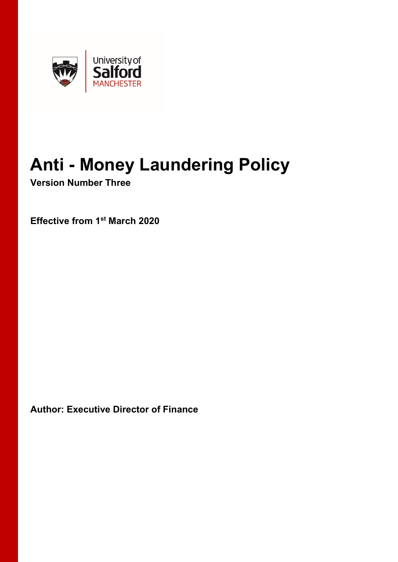

# **Anti - Money Laundering Policy**

**Version Number Three**

**Effective from 1st March 2020**

**Author: Executive Director of Finance**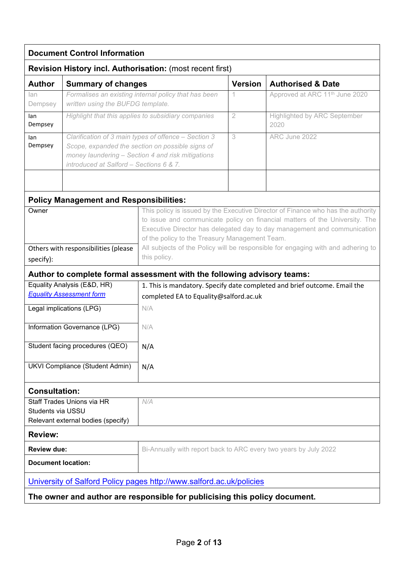| <b>Document Control Information</b>                                        |                                                                                                                                                                                                          |                                                                                                                                                                                                                                                                                                                                                                                                   |                |                                             |  |  |  |
|----------------------------------------------------------------------------|----------------------------------------------------------------------------------------------------------------------------------------------------------------------------------------------------------|---------------------------------------------------------------------------------------------------------------------------------------------------------------------------------------------------------------------------------------------------------------------------------------------------------------------------------------------------------------------------------------------------|----------------|---------------------------------------------|--|--|--|
| <b>Revision History incl. Authorisation: (most recent first)</b>           |                                                                                                                                                                                                          |                                                                                                                                                                                                                                                                                                                                                                                                   |                |                                             |  |  |  |
| <b>Author</b>                                                              | <b>Summary of changes</b>                                                                                                                                                                                |                                                                                                                                                                                                                                                                                                                                                                                                   | <b>Version</b> | <b>Authorised &amp; Date</b>                |  |  |  |
| lan<br>Dempsey                                                             | Formalises an existing internal policy that has been<br>written using the BUFDG template.                                                                                                                |                                                                                                                                                                                                                                                                                                                                                                                                   | 1              | Approved at ARC 11 <sup>th</sup> June 2020  |  |  |  |
| lan<br>Dempsey                                                             | Highlight that this applies to subsidiary companies                                                                                                                                                      |                                                                                                                                                                                                                                                                                                                                                                                                   | $\overline{2}$ | <b>Highlighted by ARC September</b><br>2020 |  |  |  |
| lan<br>Dempsey                                                             | Clarification of 3 main types of offence - Section 3<br>Scope, expanded the section on possible signs of<br>money laundering - Section 4 and risk mitigations<br>introduced at Salford - Sections 6 & 7. |                                                                                                                                                                                                                                                                                                                                                                                                   | 3              | ARC June 2022                               |  |  |  |
|                                                                            | <b>Policy Management and Responsibilities:</b>                                                                                                                                                           |                                                                                                                                                                                                                                                                                                                                                                                                   |                |                                             |  |  |  |
| Owner<br>Others with responsibilities (please<br>specify):                 |                                                                                                                                                                                                          | This policy is issued by the Executive Director of Finance who has the authority<br>to issue and communicate policy on financial matters of the University. The<br>Executive Director has delegated day to day management and communication<br>of the policy to the Treasury Management Team.<br>All subjects of the Policy will be responsible for engaging with and adhering to<br>this policy. |                |                                             |  |  |  |
|                                                                            |                                                                                                                                                                                                          | Author to complete formal assessment with the following advisory teams:                                                                                                                                                                                                                                                                                                                           |                |                                             |  |  |  |
| Equality Analysis (E&D, HR)                                                |                                                                                                                                                                                                          | 1. This is mandatory. Specify date completed and brief outcome. Email the                                                                                                                                                                                                                                                                                                                         |                |                                             |  |  |  |
| <b>Equality Assessment form</b>                                            |                                                                                                                                                                                                          | completed EA to Equality@salford.ac.uk                                                                                                                                                                                                                                                                                                                                                            |                |                                             |  |  |  |
| Legal implications (LPG)                                                   |                                                                                                                                                                                                          | N/A                                                                                                                                                                                                                                                                                                                                                                                               |                |                                             |  |  |  |
| Information Governance (LPG)                                               |                                                                                                                                                                                                          | N/A                                                                                                                                                                                                                                                                                                                                                                                               |                |                                             |  |  |  |
| Student facing procedures (QEO)                                            |                                                                                                                                                                                                          | N/A                                                                                                                                                                                                                                                                                                                                                                                               |                |                                             |  |  |  |
| UKVI Compliance (Student Admin)                                            |                                                                                                                                                                                                          | N/A                                                                                                                                                                                                                                                                                                                                                                                               |                |                                             |  |  |  |
| <b>Consultation:</b>                                                       |                                                                                                                                                                                                          |                                                                                                                                                                                                                                                                                                                                                                                                   |                |                                             |  |  |  |
| Staff Trades Unions via HR                                                 |                                                                                                                                                                                                          | N/A                                                                                                                                                                                                                                                                                                                                                                                               |                |                                             |  |  |  |
| Students via USSU                                                          |                                                                                                                                                                                                          |                                                                                                                                                                                                                                                                                                                                                                                                   |                |                                             |  |  |  |
| Relevant external bodies (specify)                                         |                                                                                                                                                                                                          |                                                                                                                                                                                                                                                                                                                                                                                                   |                |                                             |  |  |  |
| <b>Review:</b>                                                             |                                                                                                                                                                                                          |                                                                                                                                                                                                                                                                                                                                                                                                   |                |                                             |  |  |  |
| <b>Review due:</b>                                                         |                                                                                                                                                                                                          | Bi-Annually with report back to ARC every two years by July 2022                                                                                                                                                                                                                                                                                                                                  |                |                                             |  |  |  |
| <b>Document location:</b>                                                  |                                                                                                                                                                                                          |                                                                                                                                                                                                                                                                                                                                                                                                   |                |                                             |  |  |  |
| University of Salford Policy pages http://www.salford.ac.uk/policies       |                                                                                                                                                                                                          |                                                                                                                                                                                                                                                                                                                                                                                                   |                |                                             |  |  |  |
| The owner and author are responsible for publicising this policy document. |                                                                                                                                                                                                          |                                                                                                                                                                                                                                                                                                                                                                                                   |                |                                             |  |  |  |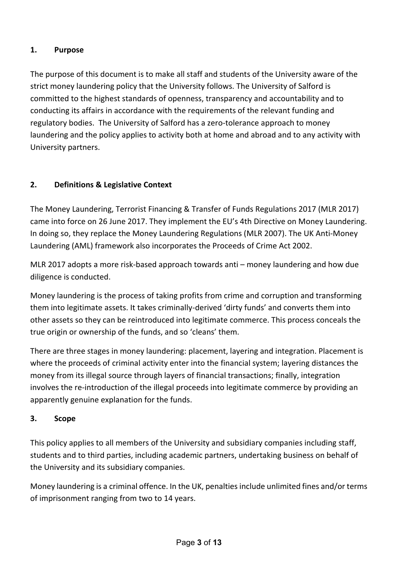# **1. Purpose**

The purpose of this document is to make all staff and students of the University aware of the strict money laundering policy that the University follows. The University of Salford is committed to the highest standards of openness, transparency and accountability and to conducting its affairs in accordance with the requirements of the relevant funding and regulatory bodies. The University of Salford has a zero-tolerance approach to money laundering and the policy applies to activity both at home and abroad and to any activity with University partners.

# **2. Definitions & Legislative Context**

The Money Laundering, Terrorist Financing & Transfer of Funds Regulations 2017 (MLR 2017) came into force on 26 June 2017. They implement the EU's 4th Directive on Money Laundering. In doing so, they replace the Money Laundering Regulations (MLR 2007). The UK Anti-Money Laundering (AML) framework also incorporates the Proceeds of Crime Act 2002.

MLR 2017 adopts a more risk-based approach towards anti – money laundering and how due diligence is conducted.

Money laundering is the process of taking profits from crime and corruption and transforming them into legitimate assets. It takes criminally-derived 'dirty funds' and converts them into other assets so they can be reintroduced into legitimate commerce. This process conceals the true origin or ownership of the funds, and so 'cleans' them.

There are three stages in money laundering: placement, layering and integration. Placement is where the proceeds of criminal activity enter into the financial system; layering distances the money from its illegal source through layers of financial transactions; finally, integration involves the re-introduction of the illegal proceeds into legitimate commerce by providing an apparently genuine explanation for the funds.

### **3. Scope**

This policy applies to all members of the University and subsidiary companies including staff, students and to third parties, including academic partners, undertaking business on behalf of the University and its subsidiary companies.

Money laundering is a criminal offence. In the UK, penalties include unlimited fines and/or terms of imprisonment ranging from two to 14 years.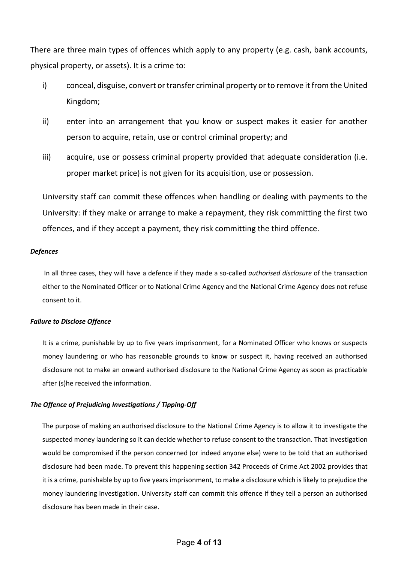There are three main types of offences which apply to any property (e.g. cash, bank accounts, physical property, or assets). It is a crime to:

- i) conceal, disguise, convert or transfer criminal property or to remove it from the United Kingdom;
- ii) enter into an arrangement that you know or suspect makes it easier for another person to acquire, retain, use or control criminal property; and
- iii) acquire, use or possess criminal property provided that adequate consideration (i.e. proper market price) is not given for its acquisition, use or possession.

University staff can commit these offences when handling or dealing with payments to the University: if they make or arrange to make a repayment, they risk committing the first two offences, and if they accept a payment, they risk committing the third offence.

#### *Defences*

In all three cases, they will have a defence if they made a so-called *authorised disclosure* of the transaction either to the Nominated Officer or to National Crime Agency and the National Crime Agency does not refuse consent to it.

#### *Failure to Disclose Offence*

It is a crime, punishable by up to five years imprisonment, for a Nominated Officer who knows or suspects money laundering or who has reasonable grounds to know or suspect it, having received an authorised disclosure not to make an onward authorised disclosure to the National Crime Agency as soon as practicable after (s)he received the information.

#### *The Offence of Prejudicing Investigations / Tipping-Off*

The purpose of making an authorised disclosure to the National Crime Agency is to allow it to investigate the suspected money laundering so it can decide whether to refuse consent to the transaction. That investigation would be compromised if the person concerned (or indeed anyone else) were to be told that an authorised disclosure had been made. To prevent this happening section 342 Proceeds of Crime Act 2002 provides that it is a crime, punishable by up to five years imprisonment, to make a disclosure which is likely to prejudice the money laundering investigation. University staff can commit this offence if they tell a person an authorised disclosure has been made in their case.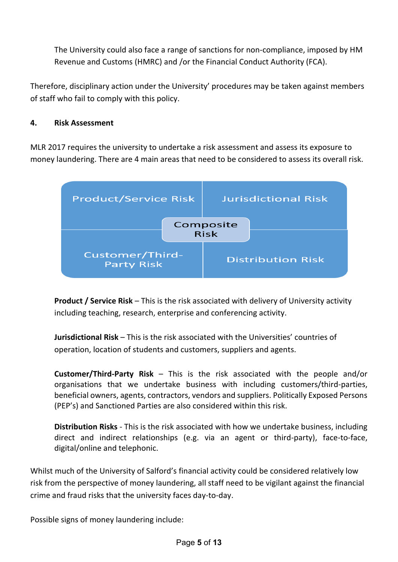The University could also face a range of sanctions for non-compliance, imposed by HM Revenue and Customs (HMRC) and /or the Financial Conduct Authority (FCA).

Therefore, disciplinary action under the University' procedures may be taken against members of staff who fail to comply with this policy.

## **4. Risk Assessment**

MLR 2017 requires the university to undertake a risk assessment and assess its exposure to money laundering. There are 4 main areas that need to be considered to assess its overall risk.



**Product / Service Risk** – This is the risk associated with delivery of University activity including teaching, research, enterprise and conferencing activity.

**Jurisdictional Risk** – This is the risk associated with the Universities' countries of operation, location of students and customers, suppliers and agents.

**Customer/Third-Party Risk** – This is the risk associated with the people and/or organisations that we undertake business with including customers/third-parties, beneficial owners, agents, contractors, vendors and suppliers. Politically Exposed Persons (PEP's) and Sanctioned Parties are also considered within this risk.

**Distribution Risks** - This is the risk associated with how we undertake business, including direct and indirect relationships (e.g. via an agent or third-party), face-to-face, digital/online and telephonic.

Whilst much of the University of Salford's financial activity could be considered relatively low risk from the perspective of money laundering, all staff need to be vigilant against the financial crime and fraud risks that the university faces day-to-day.

Possible signs of money laundering include: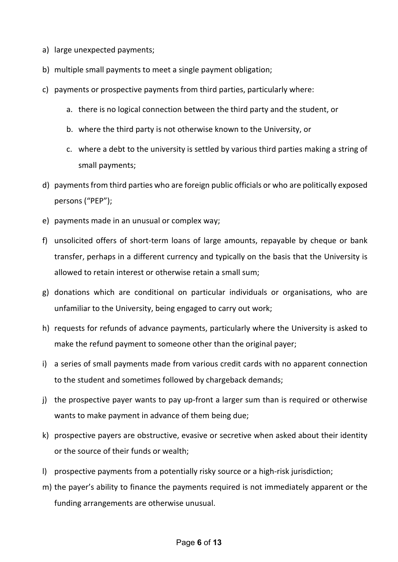- a) large unexpected payments;
- b) multiple small payments to meet a single payment obligation;
- c) payments or prospective payments from third parties, particularly where:
	- a. there is no logical connection between the third party and the student, or
	- b. where the third party is not otherwise known to the University, or
	- c. where a debt to the university is settled by various third parties making a string of small payments;
- d) payments from third parties who are foreign public officials or who are politically exposed persons ("PEP");
- e) payments made in an unusual or complex way;
- f) unsolicited offers of short-term loans of large amounts, repayable by cheque or bank transfer, perhaps in a different currency and typically on the basis that the University is allowed to retain interest or otherwise retain a small sum;
- g) donations which are conditional on particular individuals or organisations, who are unfamiliar to the University, being engaged to carry out work;
- h) requests for refunds of advance payments, particularly where the University is asked to make the refund payment to someone other than the original payer;
- i) a series of small payments made from various credit cards with no apparent connection to the student and sometimes followed by chargeback demands;
- j) the prospective payer wants to pay up-front a larger sum than is required or otherwise wants to make payment in advance of them being due;
- k) prospective payers are obstructive, evasive or secretive when asked about their identity or the source of their funds or wealth;
- l) prospective payments from a potentially risky source or a high-risk jurisdiction;
- m) the payer's ability to finance the payments required is not immediately apparent or the funding arrangements are otherwise unusual.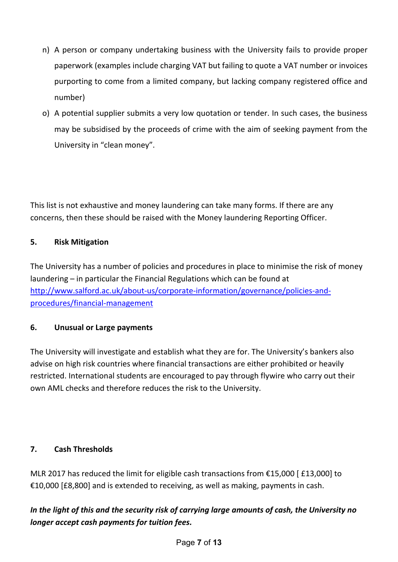- n) A person or company undertaking business with the University fails to provide proper paperwork (examples include charging VAT but failing to quote a VAT number or invoices purporting to come from a limited company, but lacking company registered office and number)
- o) A potential supplier submits a very low quotation or tender. In such cases, the business may be subsidised by the proceeds of crime with the aim of seeking payment from the University in "clean money".

This list is not exhaustive and money laundering can take many forms. If there are any concerns, then these should be raised with the Money laundering Reporting Officer.

# **5. Risk Mitigation**

The University has a number of policies and procedures in place to minimise the risk of money laundering – in particular the Financial Regulations which can be found at [http://www.salford.ac.uk/about-us/corporate-information/governance/policies-and](http://www.salford.ac.uk/about-us/corporate-information/governance/policies-and-procedures/financial-management)[procedures/financial-management](http://www.salford.ac.uk/about-us/corporate-information/governance/policies-and-procedures/financial-management)

# **6. Unusual or Large payments**

The University will investigate and establish what they are for. The University's bankers also advise on high risk countries where financial transactions are either prohibited or heavily restricted. International students are encouraged to pay through flywire who carry out their own AML checks and therefore reduces the risk to the University.

# **7. Cash Thresholds**

MLR 2017 has reduced the limit for eligible cash transactions from €15,000 [ £13,000] to €10,000 [£8,800] and is extended to receiving, as well as making, payments in cash.

# *In the light of this and the security risk of carrying large amounts of cash, the University no longer accept cash payments for tuition fees.*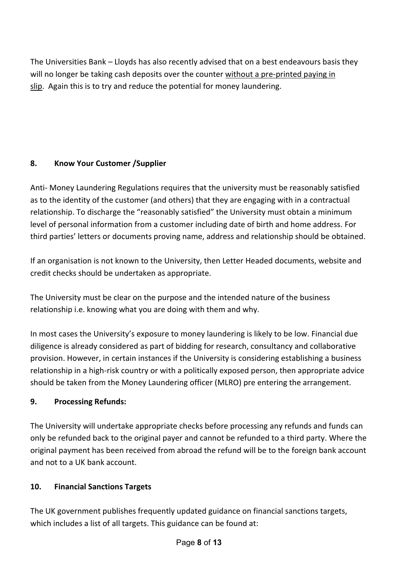The Universities Bank – Lloyds has also recently advised that on a best endeavours basis they will no longer be taking cash deposits over the counter without a pre-printed paying in slip. Again this is to try and reduce the potential for money laundering.

# **8. Know Your Customer /Supplier**

Anti- Money Laundering Regulations requires that the university must be reasonably satisfied as to the identity of the customer (and others) that they are engaging with in a contractual relationship. To discharge the "reasonably satisfied" the University must obtain a minimum level of personal information from a customer including date of birth and home address. For third parties' letters or documents proving name, address and relationship should be obtained.

If an organisation is not known to the University, then Letter Headed documents, website and credit checks should be undertaken as appropriate.

The University must be clear on the purpose and the intended nature of the business relationship i.e. knowing what you are doing with them and why.

In most cases the University's exposure to money laundering is likely to be low. Financial due diligence is already considered as part of bidding for research, consultancy and collaborative provision. However, in certain instances if the University is considering establishing a business relationship in a high-risk country or with a politically exposed person, then appropriate advice should be taken from the Money Laundering officer (MLRO) pre entering the arrangement.

# **9. Processing Refunds:**

The University will undertake appropriate checks before processing any refunds and funds can only be refunded back to the original payer and cannot be refunded to a third party. Where the original payment has been received from abroad the refund will be to the foreign bank account and not to a UK bank account.

# **10. Financial Sanctions Targets**

The UK government publishes frequently updated guidance on financial sanctions targets, which includes a list of all targets. This guidance can be found at: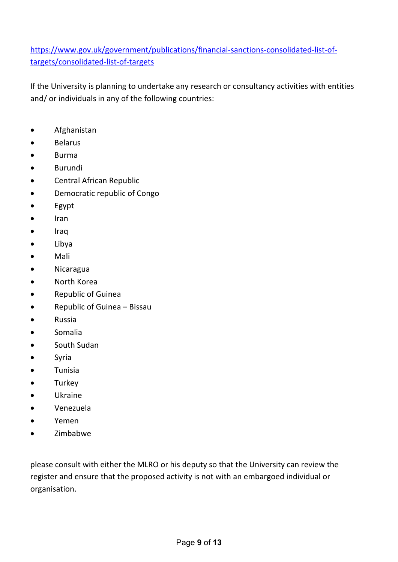[https://www.gov.uk/government/publications/financial-sanctions-consolidated-list-of](https://www.gov.uk/government/publications/financial-sanctions-consolidated-list-of-targets/consolidated-list-of-targets)[targets/consolidated-list-of-targets](https://www.gov.uk/government/publications/financial-sanctions-consolidated-list-of-targets/consolidated-list-of-targets)

If the University is planning to undertake any research or consultancy activities with entities and/ or individuals in any of the following countries:

- Afghanistan
- Belarus
- Burma
- Burundi
- Central African Republic
- Democratic republic of Congo
- Egypt
- Iran
- Iraq
- Libya
- Mali
- Nicaragua
- North Korea
- Republic of Guinea
- Republic of Guinea Bissau
- Russia
- Somalia
- South Sudan
- Syria
- Tunisia
- **Turkey**
- Ukraine
- Venezuela
- Yemen
- Zimbabwe

please consult with either the MLRO or his deputy so that the University can review the register and ensure that the proposed activity is not with an embargoed individual or organisation.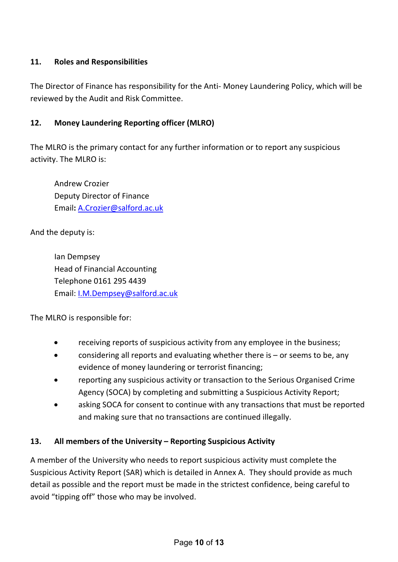# **11. Roles and Responsibilities**

The Director of Finance has responsibility for the Anti- Money Laundering Policy, which will be reviewed by the Audit and Risk Committee.

# **12. Money Laundering Reporting officer (MLRO)**

The MLRO is the primary contact for any further information or to report any suspicious activity. The MLRO is:

Andrew Crozier Deputy Director of Finance Email**:** [A.Crozier@salford.ac.uk](mailto:A.Crozier@salford.ac.uk) 

And the deputy is:

Ian Dempsey Head of Financial Accounting Telephone 0161 295 4439 Email: [I.M.Dempsey@salford.ac.uk](mailto:I.M.Dempsey@salford.ac.uk)

The MLRO is responsible for:

- receiving reports of suspicious activity from any employee in the business;
- considering all reports and evaluating whether there is  $-$  or seems to be, any evidence of money laundering or terrorist financing;
- reporting any suspicious activity or transaction to the Serious Organised Crime Agency (SOCA) by completing and submitting a Suspicious Activity Report;
- asking SOCA for consent to continue with any transactions that must be reported and making sure that no transactions are continued illegally.

### **13. All members of the University – Reporting Suspicious Activity**

A member of the University who needs to report suspicious activity must complete the Suspicious Activity Report (SAR) which is detailed in Annex A. They should provide as much detail as possible and the report must be made in the strictest confidence, being careful to avoid "tipping off" those who may be involved.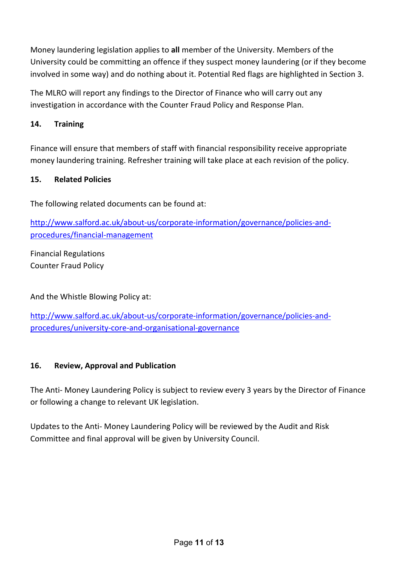Money laundering legislation applies to **all** member of the University. Members of the University could be committing an offence if they suspect money laundering (or if they become involved in some way) and do nothing about it. Potential Red flags are highlighted in Section 3.

The MLRO will report any findings to the Director of Finance who will carry out any investigation in accordance with the Counter Fraud Policy and Response Plan.

# **14. Training**

Finance will ensure that members of staff with financial responsibility receive appropriate money laundering training. Refresher training will take place at each revision of the policy.

# **15. Related Policies**

The following related documents can be found at:

[http://www.salford.ac.uk/about-us/corporate-information/governance/policies-and](http://www.salford.ac.uk/about-us/corporate-information/governance/policies-and-procedures/financial-management)[procedures/financial-management](http://www.salford.ac.uk/about-us/corporate-information/governance/policies-and-procedures/financial-management)

Financial Regulations Counter Fraud Policy

And the Whistle Blowing Policy at:

[http://www.salford.ac.uk/about-us/corporate-information/governance/policies-and](http://www.salford.ac.uk/about-us/corporate-information/governance/policies-and-procedures/university-core-and-organisational-governance)[procedures/university-core-and-organisational-governance](http://www.salford.ac.uk/about-us/corporate-information/governance/policies-and-procedures/university-core-and-organisational-governance)

### **16. Review, Approval and Publication**

The Anti- Money Laundering Policy is subject to review every 3 years by the Director of Finance or following a change to relevant UK legislation.

Updates to the Anti- Money Laundering Policy will be reviewed by the Audit and Risk Committee and final approval will be given by University Council.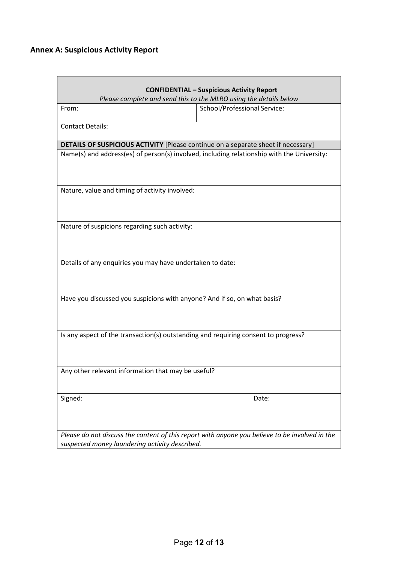# **Annex A: Suspicious Activity Report**

| <b>CONFIDENTIAL - Suspicious Activity Report</b>                                                                                                 |                              |  |  |  |  |
|--------------------------------------------------------------------------------------------------------------------------------------------------|------------------------------|--|--|--|--|
| Please complete and send this to the MLRO using the details below                                                                                |                              |  |  |  |  |
| From:                                                                                                                                            | School/Professional Service: |  |  |  |  |
| <b>Contact Details:</b>                                                                                                                          |                              |  |  |  |  |
| <b>DETAILS OF SUSPICIOUS ACTIVITY</b> [Please continue on a separate sheet if necessary]                                                         |                              |  |  |  |  |
| Name(s) and address(es) of person(s) involved, including relationship with the University:                                                       |                              |  |  |  |  |
| Nature, value and timing of activity involved:                                                                                                   |                              |  |  |  |  |
| Nature of suspicions regarding such activity:                                                                                                    |                              |  |  |  |  |
| Details of any enquiries you may have undertaken to date:                                                                                        |                              |  |  |  |  |
| Have you discussed you suspicions with anyone? And if so, on what basis?                                                                         |                              |  |  |  |  |
| Is any aspect of the transaction(s) outstanding and requiring consent to progress?                                                               |                              |  |  |  |  |
| Any other relevant information that may be useful?                                                                                               |                              |  |  |  |  |
| Signed:                                                                                                                                          | Date:                        |  |  |  |  |
| Please do not discuss the content of this report with anyone you believe to be involved in the<br>suspected money laundering activity described. |                              |  |  |  |  |